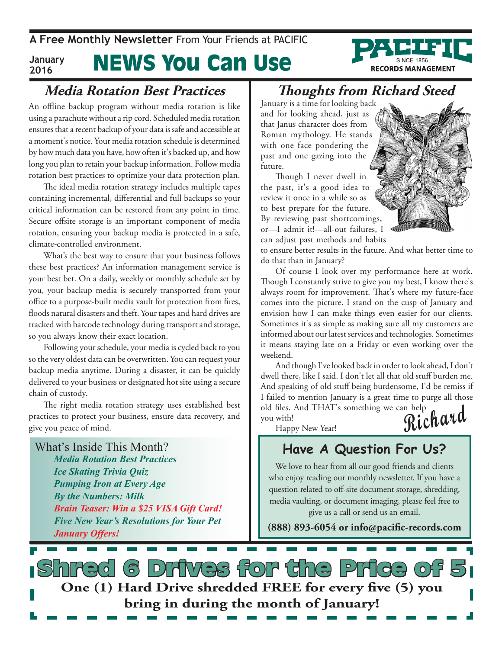News You Can Use **A Free Monthly Newsletter** From Your Friends at Pacific **January 2016**

## **Media Rotation Best Practices**

An offline backup program without media rotation is like using a parachute without a rip cord. Scheduled media rotation ensures that a recent backup of your data is safe and accessible at a moment's notice. Your media rotation schedule is determined by how much data you have, how often it's backed up, and how long you plan to retain your backup information. Follow media rotation best practices to optimize your data protection plan.

The ideal media rotation strategy includes multiple tapes containing incremental, differential and full backups so your critical information can be restored from any point in time. Secure offsite storage is an important component of media rotation, ensuring your backup media is protected in a safe, climate-controlled environment.

What's the best way to ensure that your business follows these best practices? An information management service is your best bet. On a daily, weekly or monthly schedule set by you, your backup media is securely transported from your office to a purpose-built media vault for protection from fires, floods natural disasters and theft. Your tapes and hard drives are tracked with barcode technology during transport and storage, so you always know their exact location.

Following your schedule, your media is cycled back to you so the very oldest data can be overwritten. You can request your backup media anytime. During a disaster, it can be quickly delivered to your business or designated hot site using a secure chain of custody.

The right media rotation strategy uses established best practices to protect your business, ensure data recovery, and give you peace of mind.

What's Inside This Month? *Media Rotation Best Practices Ice Skating Trivia Quiz Pumping Iron at Every Age By the Numbers: Milk Brain Teaser: Win a \$25 VISA Gift Card! Five New Year's Resolutions for Your Pet January Offers!*

## **Thoughts from Richard Steed**

January is a time for looking back and for looking ahead, just as that Janus character does from Roman mythology. He stands with one face pondering the past and one gazing into the future.

Though I never dwell in the past, it's a good idea to review it once in a while so as to best prepare for the future. By reviewing past shortcomings, or—I admit it!—all-out failures, I can adjust past methods and habits

to ensure better results in the future. And what better time to do that than in January?

Of course I look over my performance here at work. Though I constantly strive to give you my best, I know there's always room for improvement. That's where my future-face comes into the picture. I stand on the cusp of January and envision how I can make things even easier for our clients. Sometimes it's as simple as making sure all my customers are informed about our latest services and technologies. Sometimes it means staying late on a Friday or even working over the weekend.

**Richard** And though I've looked back in order to look ahead, I don't dwell there, like I said. I don't let all that old stuff burden me. And speaking of old stuff being burdensome, I'd be remiss if I failed to mention January is a great time to purge all those old files. And THAT's something we can help

Happy New Year!

you with!

## **Have A Question For Us?**

We love to hear from all our good friends and clients who enjoy reading our monthly newsletter. If you have a question related to off-site document storage, shredding, media vaulting, or document imaging, please feel free to give us a call or send us an email.

**(888) 893-6054 or info@pacific-records.com**

s Drives for the Price o **One (1) Hard Drive shredded FREE for every five (5) you bring in during the month of January!**

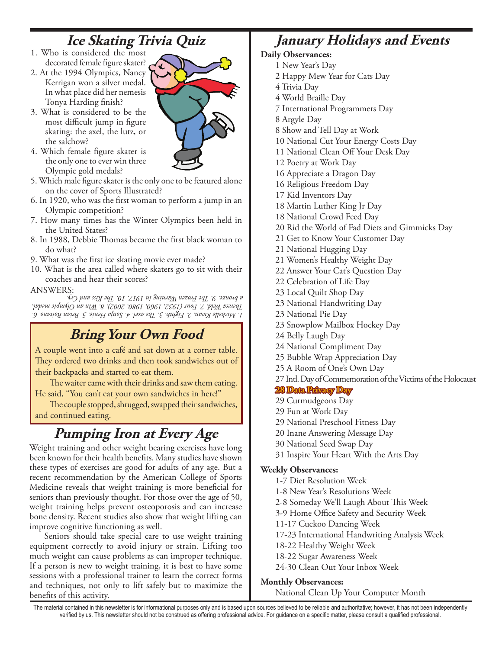## **Ice Skating Trivia Quiz**

- 1. Who is considered the most decorated female figure skater?
- 2. At the 1994 Olympics, Nancy Kerrigan won a silver medal. In what place did her nemesis Tonya Harding finish?
- 3. What is considered to be the most difficult jump in figure skating: the axel, the lutz, or the salchow?
- 4. Which female figure skater is the only one to ever win three Olympic gold medals?
- 5. Which male figure skater is the only one to be featured alone on the cover of Sports Illustrated?
- 6. In 1920, who was the first woman to perform a jump in an Olympic competition?
- 7. How many times has the Winter Olympics been held in the United States?
- 8. In 1988, Debbie Thomas became the first black woman to do what?
- 9. What was the first ice skating movie ever made?
- 10. What is the area called where skaters go to sit with their coaches and hear their scores?

#### ANSWERS:

*1. Michelle Kwan. 2. Eighth. 3. The axel. 4. Sonja Henie. 5. Brian Boitano. 6. Theresa Weld. 7. Four (1932, 1960, 1980, 2002). 8. Win an Olympic medal, a bronze. 9. The Frozen Warning in 1917. 10. The Kiss and Cry.*

## **Bring Your Own Food**

A couple went into a café and sat down at a corner table. They ordered two drinks and then took sandwiches out of their backpacks and started to eat them.

The waiter came with their drinks and saw them eating. He said, "You can't eat your own sandwiches in here!"

The couple stopped, shrugged, swapped their sandwiches, and continued eating.

## **Pumping Iron at Every Age**

Weight training and other weight bearing exercises have long been known for their health benefits. Many studies have shown these types of exercises are good for adults of any age. But a recent recommendation by the American College of Sports Medicine reveals that weight training is more beneficial for seniors than previously thought. For those over the age of 50, weight training helps prevent osteoporosis and can increase bone density. Recent studies also show that weight lifting can improve cognitive functioning as well.

Seniors should take special care to use weight training equipment correctly to avoid injury or strain. Lifting too much weight can cause problems as can improper technique. If a person is new to weight training, it is best to have some sessions with a professional trainer to learn the correct forms and techniques, not only to lift safely but to maximize the benefits of this activity.

## **January Holidays and Events**

### **Daily Observances:**

- 1 New Year's Day
- 2 Happy Mew Year for Cats Day
- 4 Trivia Day
- 4 World Braille Day
- 7 International Programmers Day
- 8 Argyle Day
- 8 Show and Tell Day at Work
- 10 National Cut Your Energy Costs Day
- 11 National Clean Off Your Desk Day
- 12 Poetry at Work Day
- 16 Appreciate a Dragon Day
- 16 Religious Freedom Day
- 17 Kid Inventors Day
- 18 Martin Luther King Jr Day
- 18 National Crowd Feed Day
- 20 Rid the World of Fad Diets and Gimmicks Day
- 21 Get to Know Your Customer Day
- 21 National Hugging Day
- 21 Women's Healthy Weight Day
- 22 Answer Your Cat's Question Day
- 22 Celebration of Life Day
- 23 Local Quilt Shop Day
- 23 National Handwriting Day
- 23 National Pie Day
- 23 Snowplow Mailbox Hockey Day
- 24 Belly Laugh Day
- 24 National Compliment Day
- 25 Bubble Wrap Appreciation Day
- 25 A Room of One's Own Day
- 27 Intl. Day of Commemoration of the Victims of the Holocaust

## **28 Data Privacy Day**

- 29 Curmudgeons Day
- 29 Fun at Work Day
- 29 National Preschool Fitness Day
- 20 Inane Answering Message Day
- 30 National Seed Swap Day
- 31 Inspire Your Heart With the Arts Day

#### **Weekly Observances:**

- 1-7 Diet Resolution Week
- 1-8 New Year's Resolutions Week
- 2-8 Someday We'll Laugh About This Week
- 3-9 Home Office Safety and Security Week
- 11-17 Cuckoo Dancing Week
- 17-23 International Handwriting Analysis Week
- 18-22 Healthy Weight Week
- 18-22 Sugar Awareness Week
- 24-30 Clean Out Your Inbox Week

#### **Monthly Observances:**

National Clean Up Your Computer Month

The material contained in this newsletter is for informational purposes only and is based upon sources believed to be reliable and authoritative; however, it has not been independently verified by us. This newsletter should not be construed as offering professional advice. For guidance on a specific matter, please consult a qualified professional.

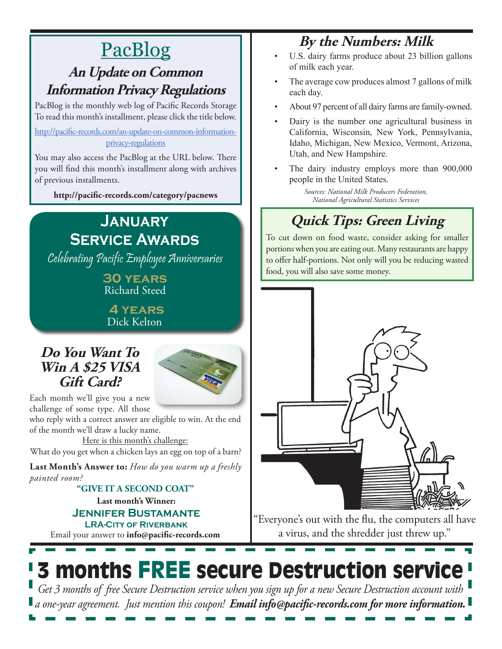# PacBlog

## **An Update on Common Information Privacy Regulations**

PacBlog is the monthly web log of Pacific Records Storage To read this month's installment, please click the title below.

[http://pacific-records.com/an-update-on-common-information](http://pacific-records.com/an-update-on-common-information-privacy-regulations)[privacy-regulations](http://pacific-records.com/an-update-on-common-information-privacy-regulations)

You may also access the PacBlog at the URL below. There you will find this month's installment along with archives of previous installments.

**http://pacific-records.com/category/pacnews**

## **January Service Awards**

Celebrating Pacific Employee Anniversaries

**30 years** Richard Steed

 **4 years** Dick Kelton

## **Do You Want To Win A \$25 VISA Gift Card?**



Each month we'll give you a new challenge of some type. All those

who reply with a correct answer are eligible to win. At the end of the month we'll draw a lucky name.

Here is this month's challenge: What do you get when a chicken lays an egg on top of a barn?

**Last Month's Answer to:** *How do you warm up a freshly painted room?*

#### **Last month's Winner: Jennifer Bustamante LRA-City of Riverbank "GIVE IT A SECOND COAT"**

Email your answer to **info@pacific-records.com**

# **By the Numbers: Milk**

- U.S. dairy farms produce about 23 billion gallons of milk each year.
- The average cow produces almost 7 gallons of milk each day.
- About 97 percent of all dairy farms are family-owned.
- Dairy is the number one agricultural business in California, Wisconsin, New York, Pennsylvania, Idaho, Michigan, New Mexico, Vermont, Arizona, Utah, and New Hampshire.
- The dairy industry employs more than 900,000 people in the United States.

*Sources: National Milk Producers Federation, National Agricultural Statistics Services*

# **Quick Tips: Green Living**

To cut down on food waste, consider asking for smaller portions when you are eating out. Many restaurants are happy to offer half-portions. Not only will you be reducing wasted food, you will also save some money.



"Everyone's out with the flu, the computers all have a virus, and the shredder just threw up."

# 3 months FREE secure Destruction service

*Get 3 months of free Secure Destruction service when you sign up for a new Secure Destruction account with a one-year agreement. Just mention this coupon! Email info@pacific-records.com for more information.*